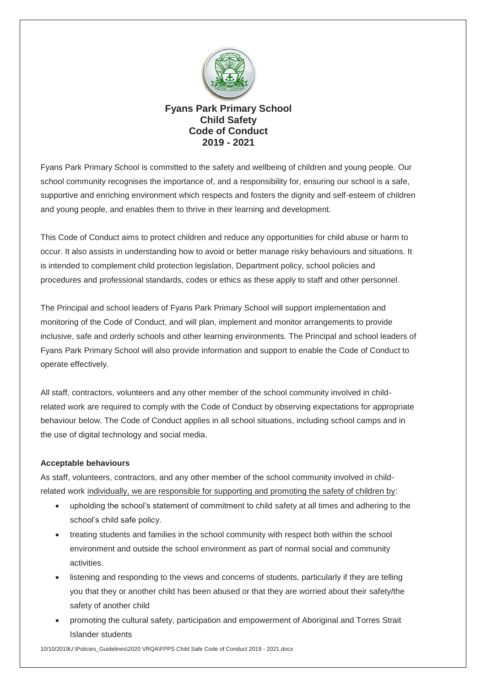

## **Fyans Park Primary School Child Safety Code of Conduct 2019 - 2021**

Fyans Park Primary School is committed to the safety and wellbeing of children and young people. Our school community recognises the importance of, and a responsibility for, ensuring our school is a safe, supportive and enriching environment which respects and fosters the dignity and self-esteem of children and young people, and enables them to thrive in their learning and development.

This Code of Conduct aims to protect children and reduce any opportunities for child abuse or harm to occur. It also assists in understanding how to avoid or better manage risky behaviours and situations. It is intended to complement child protection legislation, Department policy, school policies and procedures and professional standards, codes or ethics as these apply to staff and other personnel.

The Principal and school leaders of Fyans Park Primary School will support implementation and monitoring of the Code of Conduct, and will plan, implement and monitor arrangements to provide inclusive, safe and orderly schools and other learning environments. The Principal and school leaders of Fyans Park Primary School will also provide information and support to enable the Code of Conduct to operate effectively.

All staff, contractors, volunteers and any other member of the school community involved in childrelated work are required to comply with the Code of Conduct by observing expectations for appropriate behaviour below. The Code of Conduct applies in all school situations, including school camps and in the use of digital technology and social media.

## **Acceptable behaviours**

As staff, volunteers, contractors, and any other member of the school community involved in childrelated work individually, we are responsible for supporting and promoting the safety of children by:

- upholding the school's statement of commitment to child safety at all times and adhering to the school's child safe policy.
- treating students and families in the school community with respect both within the school environment and outside the school environment as part of normal social and community activities.
- listening and responding to the views and concerns of students, particularly if they are telling you that they or another child has been abused or that they are worried about their safety/the safety of another child
- promoting the cultural safety, participation and empowerment of Aboriginal and Torres Strait Islander students

10/10/2019U:\Policies\_Guidelines\2020 VRQA\FPPS Child Safe Code of Conduct 2019 - 2021.docx